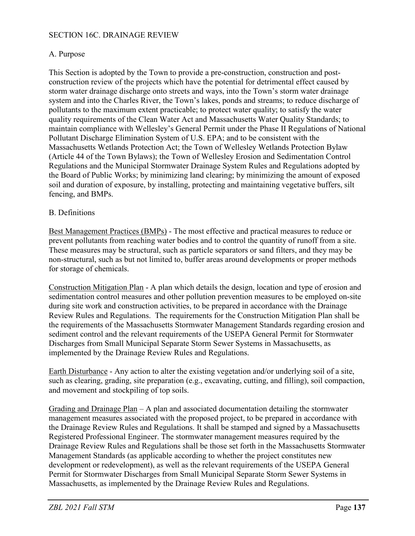#### SECTION 16C. DRAINAGE REVIEW

### A. Purpose

This Section is adopted by the Town to provide a pre-construction, construction and postconstruction review of the projects which have the potential for detrimental effect caused by storm water drainage discharge onto streets and ways, into the Town's storm water drainage system and into the Charles River, the Town's lakes, ponds and streams; to reduce discharge of pollutants to the maximum extent practicable; to protect water quality; to satisfy the water quality requirements of the Clean Water Act and Massachusetts Water Quality Standards; to maintain compliance with Wellesley's General Permit under the Phase II Regulations of National Pollutant Discharge Elimination System of U.S. EPA; and to be consistent with the Massachusetts Wetlands Protection Act; the Town of Wellesley Wetlands Protection Bylaw (Article 44 of the Town Bylaws); the Town of Wellesley Erosion and Sedimentation Control Regulations and the Municipal Stormwater Drainage System Rules and Regulations adopted by the Board of Public Works; by minimizing land clearing; by minimizing the amount of exposed soil and duration of exposure, by installing, protecting and maintaining vegetative buffers, silt fencing, and BMPs.

### B. Definitions

Best Management Practices (BMPs) - The most effective and practical measures to reduce or prevent pollutants from reaching water bodies and to control the quantity of runoff from a site. These measures may be structural, such as particle separators or sand filters, and they may be non-structural, such as but not limited to, buffer areas around developments or proper methods for storage of chemicals.

Construction Mitigation Plan - A plan which details the design, location and type of erosion and sedimentation control measures and other pollution prevention measures to be employed on-site during site work and construction activities, to be prepared in accordance with the Drainage Review Rules and Regulations. The requirements for the Construction Mitigation Plan shall be the requirements of the Massachusetts Stormwater Management Standards regarding erosion and sediment control and the relevant requirements of the USEPA General Permit for Stormwater Discharges from Small Municipal Separate Storm Sewer Systems in Massachusetts, as implemented by the Drainage Review Rules and Regulations.

Earth Disturbance - Any action to alter the existing vegetation and/or underlying soil of a site, such as clearing, grading, site preparation (e.g., excavating, cutting, and filling), soil compaction, and movement and stockpiling of top soils.

Grading and Drainage Plan – A plan and associated documentation detailing the stormwater management measures associated with the proposed project, to be prepared in accordance with the Drainage Review Rules and Regulations. It shall be stamped and signed by a Massachusetts Registered Professional Engineer. The stormwater management measures required by the Drainage Review Rules and Regulations shall be those set forth in the Massachusetts Stormwater Management Standards (as applicable according to whether the project constitutes new development or redevelopment), as well as the relevant requirements of the USEPA General Permit for Stormwater Discharges from Small Municipal Separate Storm Sewer Systems in Massachusetts, as implemented by the Drainage Review Rules and Regulations.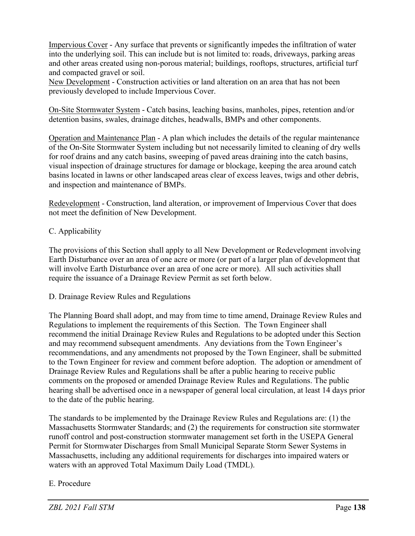Impervious Cover - Any surface that prevents or significantly impedes the infiltration of water into the underlying soil. This can include but is not limited to: roads, driveways, parking areas and other areas created using non-porous material; buildings, rooftops, structures, artificial turf and compacted gravel or soil.

New Development - Construction activities or land alteration on an area that has not been previously developed to include Impervious Cover.

On-Site Stormwater System - Catch basins, leaching basins, manholes, pipes, retention and/or detention basins, swales, drainage ditches, headwalls, BMPs and other components.

Operation and Maintenance Plan - A plan which includes the details of the regular maintenance of the On-Site Stormwater System including but not necessarily limited to cleaning of dry wells for roof drains and any catch basins, sweeping of paved areas draining into the catch basins, visual inspection of drainage structures for damage or blockage, keeping the area around catch basins located in lawns or other landscaped areas clear of excess leaves, twigs and other debris, and inspection and maintenance of BMPs.

Redevelopment - Construction, land alteration, or improvement of Impervious Cover that does not meet the definition of New Development.

# C. Applicability

The provisions of this Section shall apply to all New Development or Redevelopment involving Earth Disturbance over an area of one acre or more (or part of a larger plan of development that will involve Earth Disturbance over an area of one acre or more). All such activities shall require the issuance of a Drainage Review Permit as set forth below.

D. Drainage Review Rules and Regulations

The Planning Board shall adopt, and may from time to time amend, Drainage Review Rules and Regulations to implement the requirements of this Section. The Town Engineer shall recommend the initial Drainage Review Rules and Regulations to be adopted under this Section and may recommend subsequent amendments. Any deviations from the Town Engineer's recommendations, and any amendments not proposed by the Town Engineer, shall be submitted to the Town Engineer for review and comment before adoption. The adoption or amendment of Drainage Review Rules and Regulations shall be after a public hearing to receive public comments on the proposed or amended Drainage Review Rules and Regulations. The public hearing shall be advertised once in a newspaper of general local circulation, at least 14 days prior to the date of the public hearing.

The standards to be implemented by the Drainage Review Rules and Regulations are: (1) the Massachusetts Stormwater Standards; and (2) the requirements for construction site stormwater runoff control and post-construction stormwater management set forth in the USEPA General Permit for Stormwater Discharges from Small Municipal Separate Storm Sewer Systems in Massachusetts, including any additional requirements for discharges into impaired waters or waters with an approved Total Maximum Daily Load (TMDL).

# E. Procedure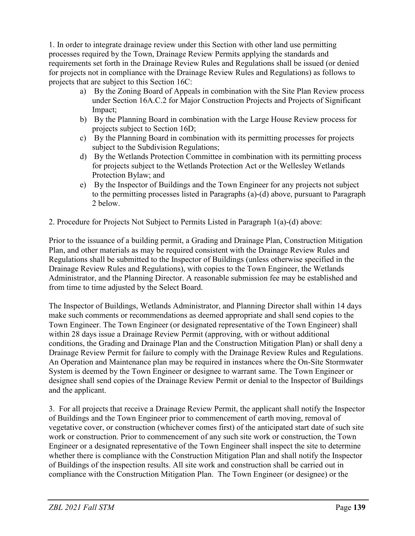1. In order to integrate drainage review under this Section with other land use permitting processes required by the Town, Drainage Review Permits applying the standards and requirements set forth in the Drainage Review Rules and Regulations shall be issued (or denied for projects not in compliance with the Drainage Review Rules and Regulations) as follows to projects that are subject to this Section 16C:

- a) By the Zoning Board of Appeals in combination with the Site Plan Review process under Section 16A.C.2 for Major Construction Projects and Projects of Significant Impact;
- b) By the Planning Board in combination with the Large House Review process for projects subject to Section 16D;
- c) By the Planning Board in combination with its permitting processes for projects subject to the Subdivision Regulations;
- d) By the Wetlands Protection Committee in combination with its permitting process for projects subject to the Wetlands Protection Act or the Wellesley Wetlands Protection Bylaw; and
- e) By the Inspector of Buildings and the Town Engineer for any projects not subject to the permitting processes listed in Paragraphs (a)-(d) above, pursuant to Paragraph 2 below.
- 2. Procedure for Projects Not Subject to Permits Listed in Paragraph 1(a)-(d) above:

Prior to the issuance of a building permit, a Grading and Drainage Plan, Construction Mitigation Plan, and other materials as may be required consistent with the Drainage Review Rules and Regulations shall be submitted to the Inspector of Buildings (unless otherwise specified in the Drainage Review Rules and Regulations), with copies to the Town Engineer, the Wetlands Administrator, and the Planning Director. A reasonable submission fee may be established and from time to time adjusted by the Select Board.

The Inspector of Buildings, Wetlands Administrator, and Planning Director shall within 14 days make such comments or recommendations as deemed appropriate and shall send copies to the Town Engineer. The Town Engineer (or designated representative of the Town Engineer) shall within 28 days issue a Drainage Review Permit (approving, with or without additional conditions, the Grading and Drainage Plan and the Construction Mitigation Plan) or shall deny a Drainage Review Permit for failure to comply with the Drainage Review Rules and Regulations. An Operation and Maintenance plan may be required in instances where the On-Site Stormwater System is deemed by the Town Engineer or designee to warrant same. The Town Engineer or designee shall send copies of the Drainage Review Permit or denial to the Inspector of Buildings and the applicant.

3. For all projects that receive a Drainage Review Permit, the applicant shall notify the Inspector of Buildings and the Town Engineer prior to commencement of earth moving, removal of vegetative cover, or construction (whichever comes first) of the anticipated start date of such site work or construction. Prior to commencement of any such site work or construction, the Town Engineer or a designated representative of the Town Engineer shall inspect the site to determine whether there is compliance with the Construction Mitigation Plan and shall notify the Inspector of Buildings of the inspection results. All site work and construction shall be carried out in compliance with the Construction Mitigation Plan. The Town Engineer (or designee) or the